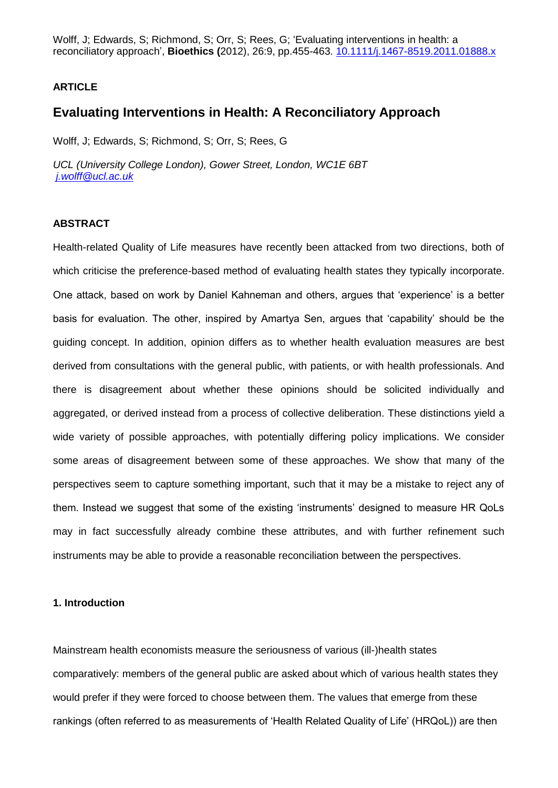Wolff, J; Edwards, S; Richmond, S; Orr, S; Rees, G; 'Evaluating interventions in health: a reconciliatory approach', **Bioethics (**2012), 26:9, pp.455-463. 10.1111/j.1467-8519.2011.01888.x

## **ARTICLE**

# **Evaluating Interventions in Health: A Reconciliatory Approach**

Wolff, J; Edwards, S; Richmond, S; Orr, S; Rees, G

*UCL (University College London), Gower Street, London, WC1E 6BT [j.wolff@ucl.ac.uk](mailto:j.wolff@ucl.ac.uk)*

### **ABSTRACT**

Health-related Quality of Life measures have recently been attacked from two directions, both of which criticise the preference-based method of evaluating health states they typically incorporate. One attack, based on work by Daniel Kahneman and others, argues that 'experience' is a better basis for evaluation. The other, inspired by Amartya Sen, argues that 'capability' should be the guiding concept. In addition, opinion differs as to whether health evaluation measures are best derived from consultations with the general public, with patients, or with health professionals. And there is disagreement about whether these opinions should be solicited individually and aggregated, or derived instead from a process of collective deliberation. These distinctions yield a wide variety of possible approaches, with potentially differing policy implications. We consider some areas of disagreement between some of these approaches. We show that many of the perspectives seem to capture something important, such that it may be a mistake to reject any of them. Instead we suggest that some of the existing 'instruments' designed to measure HR QoLs may in fact successfully already combine these attributes, and with further refinement such instruments may be able to provide a reasonable reconciliation between the perspectives.

### **1. Introduction**

Mainstream health economists measure the seriousness of various (ill-)health states comparatively: members of the general public are asked about which of various health states they would prefer if they were forced to choose between them. The values that emerge from these rankings (often referred to as measurements of 'Health Related Quality of Life' (HRQoL)) are then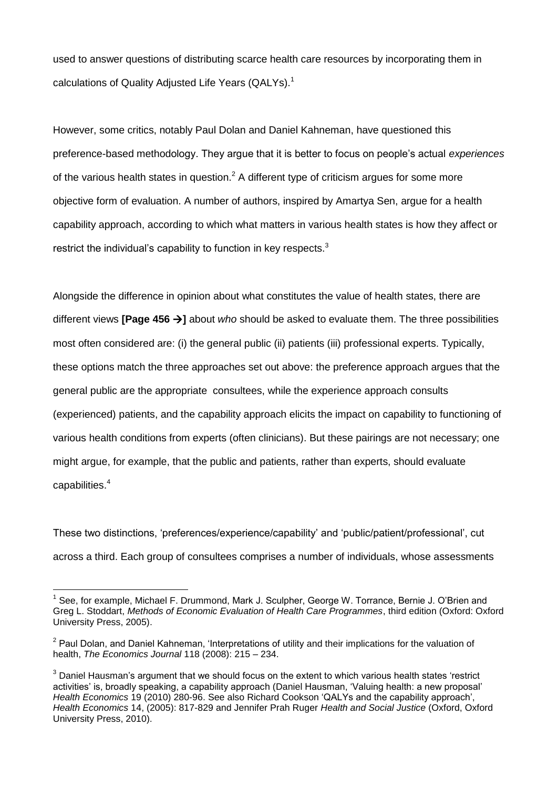used to answer questions of distributing scarce health care resources by incorporating them in calculations of Quality Adjusted Life Years (QALYs).<sup>1</sup>

However, some critics, notably Paul Dolan and Daniel Kahneman, have questioned this preference-based methodology. They argue that it is better to focus on people's actual *experiences* of the various health states in question.<sup>2</sup> A different type of criticism argues for some more objective form of evaluation. A number of authors, inspired by Amartya Sen, argue for a health capability approach, according to which what matters in various health states is how they affect or restrict the individual's capability to function in key respects.<sup>3</sup>

Alongside the difference in opinion about what constitutes the value of health states, there are different views **[Page 456 ]** about *who* should be asked to evaluate them. The three possibilities most often considered are: (i) the general public (ii) patients (iii) professional experts. Typically, these options match the three approaches set out above: the preference approach argues that the general public are the appropriate consultees, while the experience approach consults (experienced) patients, and the capability approach elicits the impact on capability to functioning of various health conditions from experts (often clinicians). But these pairings are not necessary; one might argue, for example, that the public and patients, rather than experts, should evaluate capabilities.<sup>4</sup>

These two distinctions, 'preferences/experience/capability' and 'public/patient/professional', cut across a third. Each group of consultees comprises a number of individuals, whose assessments

<sup>&</sup>lt;sup>1</sup> See, for example, Michael F. Drummond, Mark J. Sculpher, George W. Torrance, Bernie J. O'Brien and Greg L. Stoddart, *Methods of Economic Evaluation of Health Care Programmes*, third edition (Oxford: Oxford University Press, 2005).

<sup>&</sup>lt;sup>2</sup> Paul Dolan, and Daniel Kahneman, 'Interpretations of utility and their implications for the valuation of health, *The Economics Journal* 118 (2008): 215 – 234.

<sup>&</sup>lt;sup>3</sup> Daniel Hausman's argument that we should focus on the extent to which various health states 'restrict activities' is, broadly speaking, a capability approach (Daniel Hausman, 'Valuing health: a new proposal' *Health Economics* 19 (2010) 280-96. See also Richard Cookson 'QALYs and the capability approach', *Health Economics* 14, (2005): 817-829 and Jennifer Prah Ruger *Health and Social Justice* (Oxford, Oxford University Press, 2010).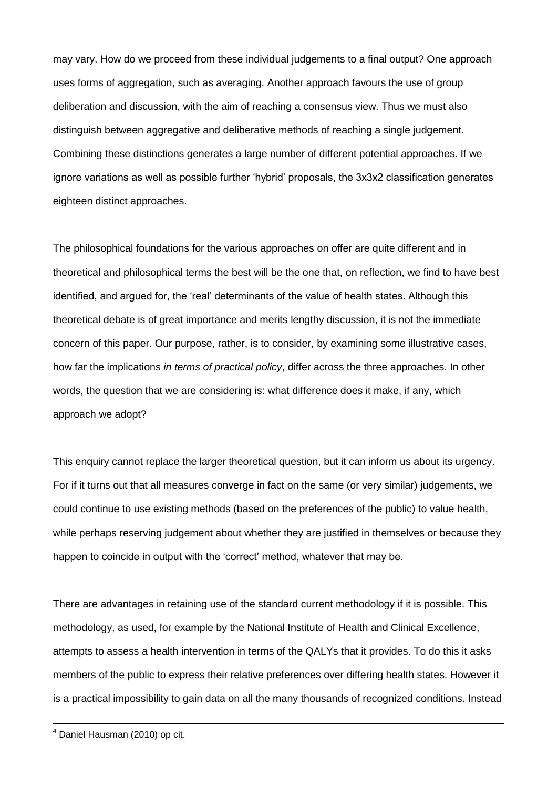may vary. How do we proceed from these individual judgements to a final output? One approach uses forms of aggregation, such as averaging. Another approach favours the use of group deliberation and discussion, with the aim of reaching a consensus view. Thus we must also distinguish between aggregative and deliberative methods of reaching a single judgement. Combining these distinctions generates a large number of different potential approaches. If we ignore variations as well as possible further 'hybrid' proposals, the 3x3x2 classification generates eighteen distinct approaches.

The philosophical foundations for the various approaches on offer are quite different and in theoretical and philosophical terms the best will be the one that, on reflection, we find to have best identified, and argued for, the 'real' determinants of the value of health states. Although this theoretical debate is of great importance and merits lengthy discussion, it is not the immediate concern of this paper. Our purpose, rather, is to consider, by examining some illustrative cases, how far the implications *in terms of practical policy*, differ across the three approaches. In other words, the question that we are considering is: what difference does it make, if any, which approach we adopt?

This enquiry cannot replace the larger theoretical question, but it can inform us about its urgency. For if it turns out that all measures converge in fact on the same (or very similar) judgements, we could continue to use existing methods (based on the preferences of the public) to value health, while perhaps reserving judgement about whether they are justified in themselves or because they happen to coincide in output with the 'correct' method, whatever that may be.

There are advantages in retaining use of the standard current methodology if it is possible. This methodology, as used, for example by the National Institute of Health and Clinical Excellence, attempts to assess a health intervention in terms of the QALYs that it provides. To do this it asks members of the public to express their relative preferences over differing health states. However it is a practical impossibility to gain data on all the many thousands of recognized conditions. Instead

<sup>4</sup> Daniel Hausman (2010) op cit.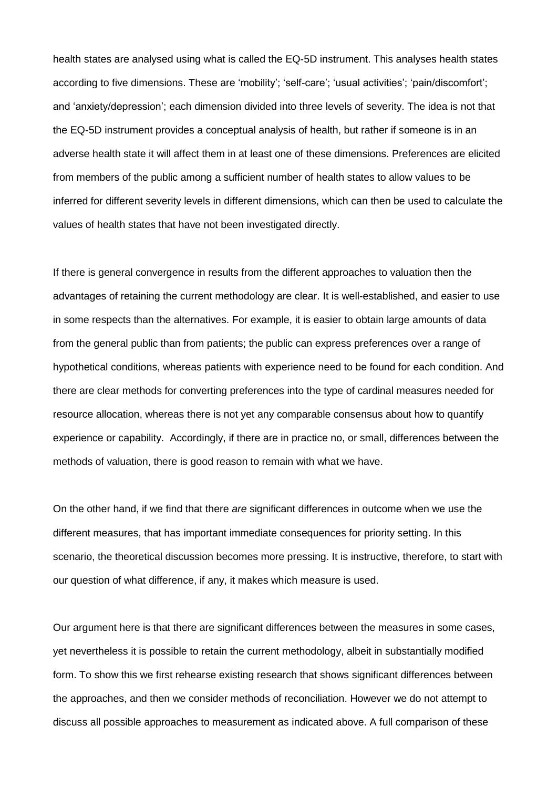health states are analysed using what is called the EQ-5D instrument. This analyses health states according to five dimensions. These are 'mobility'; 'self-care'; 'usual activities'; 'pain/discomfort'; and 'anxiety/depression'; each dimension divided into three levels of severity. The idea is not that the EQ-5D instrument provides a conceptual analysis of health, but rather if someone is in an adverse health state it will affect them in at least one of these dimensions. Preferences are elicited from members of the public among a sufficient number of health states to allow values to be inferred for different severity levels in different dimensions, which can then be used to calculate the values of health states that have not been investigated directly.

If there is general convergence in results from the different approaches to valuation then the advantages of retaining the current methodology are clear. It is well-established, and easier to use in some respects than the alternatives. For example, it is easier to obtain large amounts of data from the general public than from patients; the public can express preferences over a range of hypothetical conditions, whereas patients with experience need to be found for each condition. And there are clear methods for converting preferences into the type of cardinal measures needed for resource allocation, whereas there is not yet any comparable consensus about how to quantify experience or capability. Accordingly, if there are in practice no, or small, differences between the methods of valuation, there is good reason to remain with what we have.

On the other hand, if we find that there *are* significant differences in outcome when we use the different measures, that has important immediate consequences for priority setting. In this scenario, the theoretical discussion becomes more pressing. It is instructive, therefore, to start with our question of what difference, if any, it makes which measure is used.

Our argument here is that there are significant differences between the measures in some cases, yet nevertheless it is possible to retain the current methodology, albeit in substantially modified form. To show this we first rehearse existing research that shows significant differences between the approaches, and then we consider methods of reconciliation. However we do not attempt to discuss all possible approaches to measurement as indicated above. A full comparison of these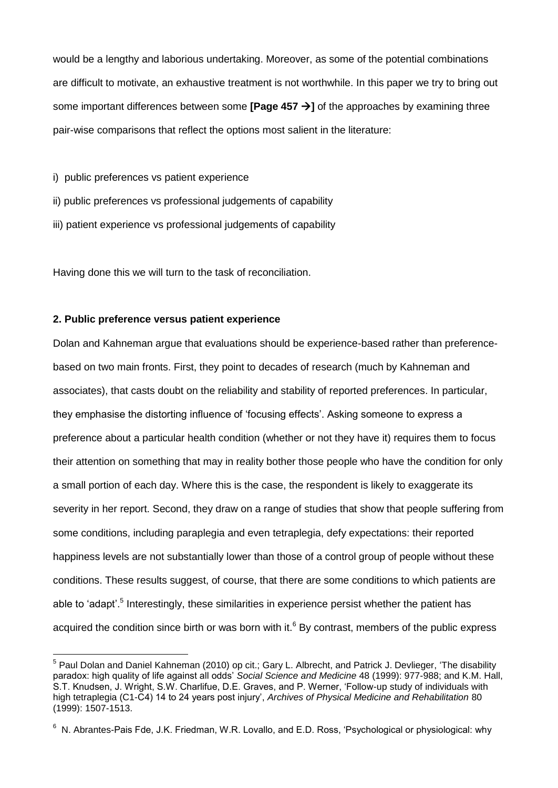would be a lengthy and laborious undertaking. Moreover, as some of the potential combinations are difficult to motivate, an exhaustive treatment is not worthwhile. In this paper we try to bring out some important differences between some **[Page 457 ]** of the approaches by examining three pair-wise comparisons that reflect the options most salient in the literature:

i) public preferences vs patient experience

- ii) public preferences vs professional judgements of capability
- iii) patient experience vs professional judgements of capability

Having done this we will turn to the task of reconciliation.

## **2. Public preference versus patient experience**

1

Dolan and Kahneman argue that evaluations should be experience-based rather than preferencebased on two main fronts. First, they point to decades of research (much by Kahneman and associates), that casts doubt on the reliability and stability of reported preferences. In particular, they emphasise the distorting influence of 'focusing effects'. Asking someone to express a preference about a particular health condition (whether or not they have it) requires them to focus their attention on something that may in reality bother those people who have the condition for only a small portion of each day. Where this is the case, the respondent is likely to exaggerate its severity in her report. Second, they draw on a range of studies that show that people suffering from some conditions, including paraplegia and even tetraplegia, defy expectations: their reported happiness levels are not substantially lower than those of a control group of people without these conditions. These results suggest, of course, that there are some conditions to which patients are able to 'adapt'.<sup>5</sup> Interestingly, these similarities in experience persist whether the patient has acquired the condition since birth or was born with it. $6$  By contrast, members of the public express

<sup>&</sup>lt;sup>5</sup> Paul Dolan and Daniel Kahneman (2010) op cit.; Gary L. Albrecht, and Patrick J. Devlieger, 'The disability paradox: high quality of life against all odds' *Social Science and Medicine* 48 (1999): 977-988; and K.M. Hall, S.T. Knudsen, J. Wright, S.W. Charlifue, D.E. Graves, and P. Werner, 'Follow-up study of individuals with high tetraplegia (C1-C4) 14 to 24 years post injury', *Archives of Physical Medicine and Rehabilitation* 80 (1999): 1507-1513.

<sup>&</sup>lt;sup>6</sup> N. Abrantes-Pais Fde, J.K. Friedman, W.R. Lovallo, and E.D. Ross, 'Psychological or physiological: why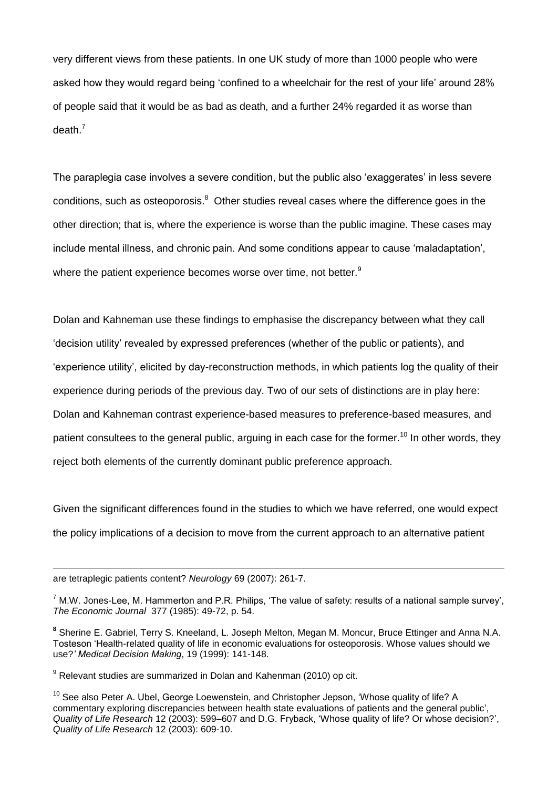very different views from these patients. In one UK study of more than 1000 people who were asked how they would regard being 'confined to a wheelchair for the rest of your life' around 28% of people said that it would be as bad as death, and a further 24% regarded it as worse than  $death<sup>7</sup>$ 

The paraplegia case involves a severe condition, but the public also 'exaggerates' in less severe conditions, such as osteoporosis.<sup>8</sup> Other studies reveal cases where the difference goes in the other direction; that is, where the experience is worse than the public imagine. These cases may include mental illness, and chronic pain. And some conditions appear to cause 'maladaptation', where the patient experience becomes worse over time, not better.<sup>9</sup>

Dolan and Kahneman use these findings to emphasise the discrepancy between what they call 'decision utility' revealed by expressed preferences (whether of the public or patients), and 'experience utility', elicited by day-reconstruction methods, in which patients log the quality of their experience during periods of the previous day. Two of our sets of distinctions are in play here: Dolan and Kahneman contrast experience-based measures to preference-based measures, and patient consultees to the general public, arguing in each case for the former.<sup>10</sup> In other words, they reject both elements of the currently dominant public preference approach.

Given the significant differences found in the studies to which we have referred, one would expect the policy implications of a decision to move from the current approach to an alternative patient

are tetraplegic patients content? *Neurology* 69 (2007): 261-7.

 $^7$  M.W. Jones-Lee, M. Hammerton and P.R. Philips, 'The value of safety: results of a national sample survey', *The Economic Journal* 377 (1985): 49-72, p. 54.

**<sup>8</sup>** Sherine E. Gabriel, Terry S. Kneeland, L. Joseph Melton, Megan M. Moncur, Bruce Ettinger and Anna N.A. Tosteson 'Health-related quality of life in economic evaluations for osteoporosis. Whose values should we use?*' Medical Decision Making*, 19 (1999): 141-148.

 $9$  Relevant studies are summarized in Dolan and Kahenman (2010) op cit.

<sup>&</sup>lt;sup>10</sup> See also Peter A. Ubel, George Loewenstein, and Christopher Jepson, 'Whose quality of life? A commentary exploring discrepancies between health state evaluations of patients and the general public', *Quality of Life Research* 12 (2003): 599–607 and D.G. Fryback, 'Whose quality of life? Or whose decision?', *Quality of Life Research* 12 (2003): 609-10.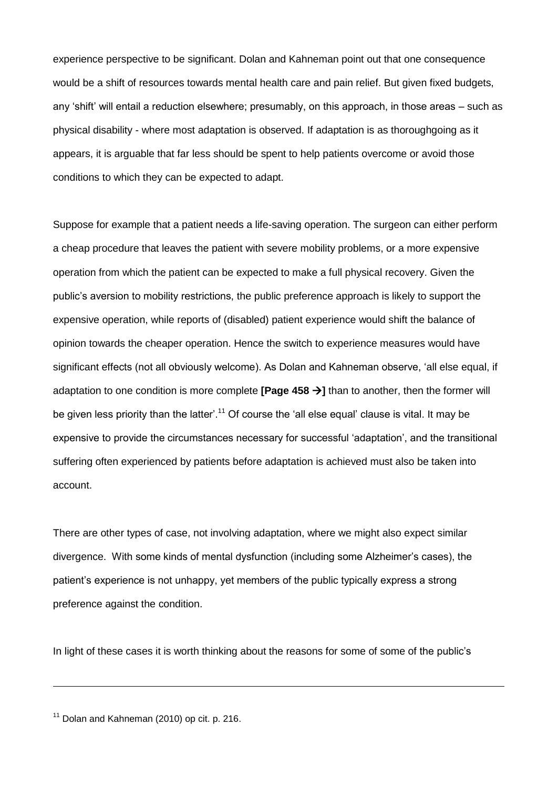experience perspective to be significant. Dolan and Kahneman point out that one consequence would be a shift of resources towards mental health care and pain relief. But given fixed budgets, any 'shift' will entail a reduction elsewhere; presumably, on this approach, in those areas – such as physical disability - where most adaptation is observed. If adaptation is as thoroughgoing as it appears, it is arguable that far less should be spent to help patients overcome or avoid those conditions to which they can be expected to adapt.

Suppose for example that a patient needs a life-saving operation. The surgeon can either perform a cheap procedure that leaves the patient with severe mobility problems, or a more expensive operation from which the patient can be expected to make a full physical recovery. Given the public's aversion to mobility restrictions, the public preference approach is likely to support the expensive operation, while reports of (disabled) patient experience would shift the balance of opinion towards the cheaper operation. Hence the switch to experience measures would have significant effects (not all obviously welcome). As Dolan and Kahneman observe, 'all else equal, if adaptation to one condition is more complete **[Page 458 ]** than to another, then the former will be given less priority than the latter'.<sup>11</sup> Of course the 'all else equal' clause is vital. It may be expensive to provide the circumstances necessary for successful 'adaptation', and the transitional suffering often experienced by patients before adaptation is achieved must also be taken into account.

There are other types of case, not involving adaptation, where we might also expect similar divergence. With some kinds of mental dysfunction (including some Alzheimer's cases), the patient's experience is not unhappy, yet members of the public typically express a strong preference against the condition.

In light of these cases it is worth thinking about the reasons for some of some of the public's

 $11$  Dolan and Kahneman (2010) op cit. p. 216.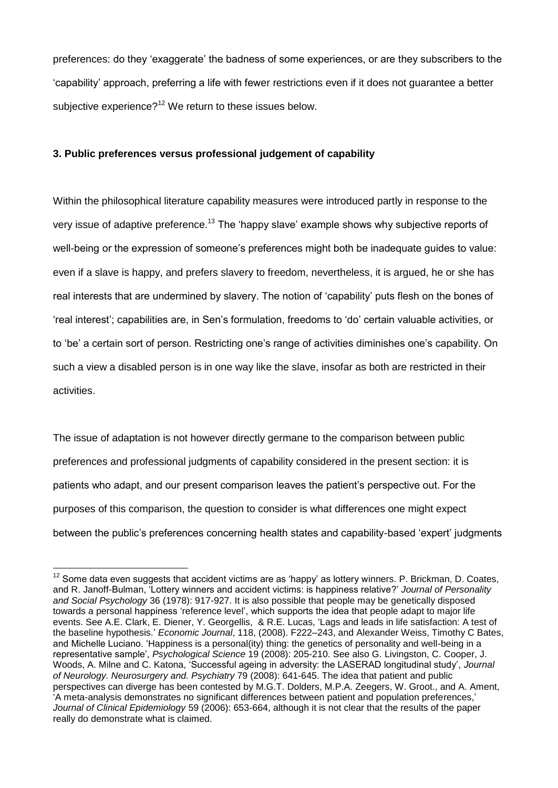preferences: do they 'exaggerate' the badness of some experiences, or are they subscribers to the 'capability' approach, preferring a life with fewer restrictions even if it does not guarantee a better subjective experience?<sup>12</sup> We return to these issues below.

## **3. Public preferences versus professional judgement of capability**

Within the philosophical literature capability measures were introduced partly in response to the very issue of adaptive preference.<sup>13</sup> The 'happy slave' example shows why subjective reports of well-being or the expression of someone's preferences might both be inadequate guides to value: even if a slave is happy, and prefers slavery to freedom, nevertheless, it is argued, he or she has real interests that are undermined by slavery. The notion of 'capability' puts flesh on the bones of 'real interest'; capabilities are, in Sen's formulation, freedoms to 'do' certain valuable activities, or to 'be' a certain sort of person. Restricting one's range of activities diminishes one's capability. On such a view a disabled person is in one way like the slave, insofar as both are restricted in their activities.

The issue of adaptation is not however directly germane to the comparison between public preferences and professional judgments of capability considered in the present section: it is patients who adapt, and our present comparison leaves the patient's perspective out. For the purposes of this comparison, the question to consider is what differences one might expect between the public's preferences concerning health states and capability-based 'expert' judgments

 $12$  Some data even suggests that accident victims are as 'happy' as lottery winners. P. Brickman, D. Coates, and R. Janoff-Bulman, 'Lottery winners and accident victims: is happiness relative?' *Journal of Personality and Social Psychology* 36 (1978): 917-927. It is also possible that people may be genetically disposed towards a personal happiness 'reference level', which supports the idea that people adapt to major life events. See A.E. Clark, E. Diener, Y. Georgellis, & R.E. Lucas, 'Lags and leads in life satisfaction: A test of the baseline hypothesis.' *Economic Journal*, 118, (2008). F222–243, and Alexander Weiss, Timothy C Bates, and Michelle Luciano. 'Happiness is a personal(ity) thing: the genetics of personality and well-being in a representative sample', *Psychological Science* 19 (2008): 205-210. See also G. Livingston, C. Cooper, J. Woods, A. Milne and C. Katona, 'Successful ageing in adversity: the LASERAD longitudinal study', *Journal of Neurology. Neurosurgery and. Psychiatry* 79 (2008): 641-645. The idea that patient and public perspectives can diverge has been contested by M.G.T. Dolders, M.P.A. Zeegers, W. Groot., and A. Ament, 'A meta-analysis demonstrates no significant differences between patient and population preferences,' *Journal of Clinical Epidemiology* 59 (2006): 653-664, although it is not clear that the results of the paper really do demonstrate what is claimed.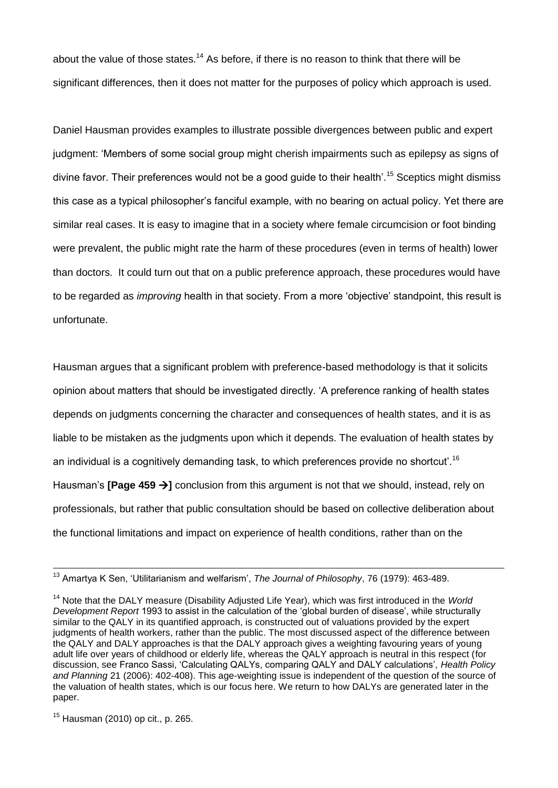about the value of those states.<sup>14</sup> As before, if there is no reason to think that there will be significant differences, then it does not matter for the purposes of policy which approach is used.

Daniel Hausman provides examples to illustrate possible divergences between public and expert judgment: 'Members of some social group might cherish impairments such as epilepsy as signs of divine favor. Their preferences would not be a good guide to their health'.<sup>15</sup> Sceptics might dismiss this case as a typical philosopher's fanciful example, with no bearing on actual policy. Yet there are similar real cases. It is easy to imagine that in a society where female circumcision or foot binding were prevalent, the public might rate the harm of these procedures (even in terms of health) lower than doctors. It could turn out that on a public preference approach, these procedures would have to be regarded as *improving* health in that society. From a more 'objective' standpoint, this result is unfortunate.

Hausman argues that a significant problem with preference-based methodology is that it solicits opinion about matters that should be investigated directly. 'A preference ranking of health states depends on judgments concerning the character and consequences of health states, and it is as liable to be mistaken as the judgments upon which it depends. The evaluation of health states by an individual is a cognitively demanding task, to which preferences provide no shortcut'.<sup>16</sup> Hausman's **[Page 459 ]** conclusion from this argument is not that we should, instead, rely on professionals, but rather that public consultation should be based on collective deliberation about the functional limitations and impact on experience of health conditions, rather than on the

<sup>13</sup> Amartya K Sen, 'Utilitarianism and welfarism', *The Journal of Philosophy*, 76 (1979): 463-489.

<sup>14</sup> Note that the DALY measure (Disability Adjusted Life Year), which was first introduced in the *World Development Report* 1993 to assist in the calculation of the 'global burden of disease', while structurally similar to the QALY in its quantified approach, is constructed out of valuations provided by the expert judgments of health workers, rather than the public. The most discussed aspect of the difference between the QALY and DALY approaches is that the DALY approach gives a weighting favouring years of young adult life over years of childhood or elderly life, whereas the QALY approach is neutral in this respect (for discussion, see Franco Sassi, 'Calculating QALYs, comparing QALY and DALY calculations', *Health Policy and Planning* 21 (2006): 402-408). This age-weighting issue is independent of the question of the source of the valuation of health states, which is our focus here. We return to how DALYs are generated later in the paper.

 $15$  Hausman (2010) op cit., p. 265.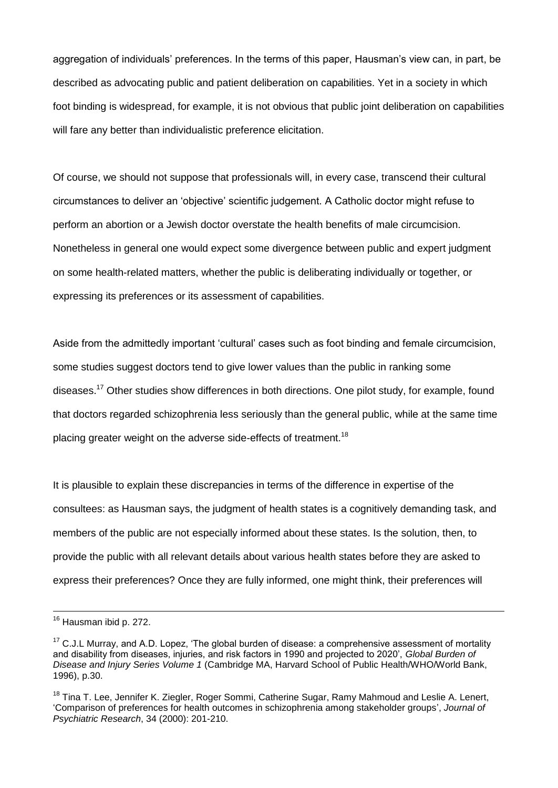aggregation of individuals' preferences. In the terms of this paper, Hausman's view can, in part, be described as advocating public and patient deliberation on capabilities. Yet in a society in which foot binding is widespread, for example, it is not obvious that public joint deliberation on capabilities will fare any better than individualistic preference elicitation.

Of course, we should not suppose that professionals will, in every case, transcend their cultural circumstances to deliver an 'objective' scientific judgement. A Catholic doctor might refuse to perform an abortion or a Jewish doctor overstate the health benefits of male circumcision. Nonetheless in general one would expect some divergence between public and expert judgment on some health-related matters, whether the public is deliberating individually or together, or expressing its preferences or its assessment of capabilities.

Aside from the admittedly important 'cultural' cases such as foot binding and female circumcision, some studies suggest doctors tend to give lower values than the public in ranking some diseases.<sup>17</sup> Other studies show differences in both directions. One pilot study, for example, found that doctors regarded schizophrenia less seriously than the general public, while at the same time placing greater weight on the adverse side-effects of treatment.<sup>18</sup>

It is plausible to explain these discrepancies in terms of the difference in expertise of the consultees: as Hausman says, the judgment of health states is a cognitively demanding task, and members of the public are not especially informed about these states. Is the solution, then, to provide the public with all relevant details about various health states before they are asked to express their preferences? Once they are fully informed, one might think, their preferences will

<sup>&</sup>lt;sup>16</sup> Hausman ibid p. 272.

 $17$  C.J.L Murray, and A.D. Lopez, 'The global burden of disease: a comprehensive assessment of mortality and disability from diseases, injuries, and risk factors in 1990 and projected to 2020', *Global Burden of Disease and Injury Series Volume 1* (Cambridge MA, Harvard School of Public Health/WHO/World Bank, 1996), p.30.

<sup>&</sup>lt;sup>18</sup> Tina T. Lee, Jennifer K. Ziegler, Roger Sommi, Catherine Sugar, Ramy Mahmoud and Leslie A. Lenert, 'Comparison of preferences for health outcomes in schizophrenia among stakeholder groups', *Journal of Psychiatric Research*, 34 (2000): 201-210.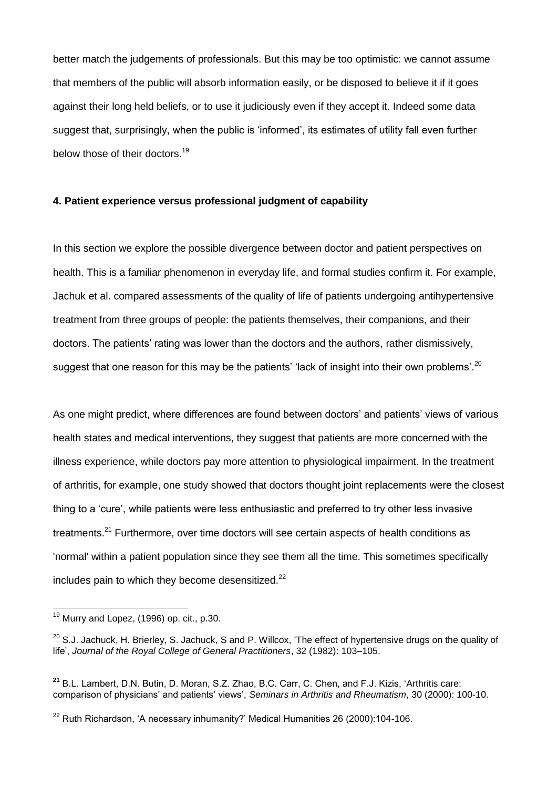better match the judgements of professionals. But this may be too optimistic: we cannot assume that members of the public will absorb information easily, or be disposed to believe it if it goes against their long held beliefs, or to use it judiciously even if they accept it. Indeed some data suggest that, surprisingly, when the public is 'informed', its estimates of utility fall even further below those of their doctors.<sup>19</sup>

## **4. Patient experience versus professional judgment of capability**

In this section we explore the possible divergence between doctor and patient perspectives on health. This is a familiar phenomenon in everyday life, and formal studies confirm it. For example, Jachuk et al. compared assessments of the quality of life of patients undergoing antihypertensive treatment from three groups of people: the patients themselves, their companions, and their doctors. The patients' rating was lower than the doctors and the authors, rather dismissively, suggest that one reason for this may be the patients' 'lack of insight into their own problems'.<sup>20</sup>

As one might predict, where differences are found between doctors' and patients' views of various health states and medical interventions, they suggest that patients are more concerned with the illness experience, while doctors pay more attention to physiological impairment. In the treatment of arthritis, for example, one study showed that doctors thought joint replacements were the closest thing to a 'cure', while patients were less enthusiastic and preferred to try other less invasive treatments.<sup>21</sup> Furthermore, over time doctors will see certain aspects of health conditions as 'normal' within a patient population since they see them all the time. This sometimes specifically includes pain to which they become desensitized.<sup>22</sup>

 $19$  Murry and Lopez, (1996) op. cit., p.30.

 $20$  S.J. Jachuck, H. Brierley, S. Jachuck, S and P. Willcox, 'The effect of hypertensive drugs on the quality of life', *Journal of the Royal College of General Practitioners*, 32 (1982): 103–105.

**<sup>21</sup>** B.L. Lambert, D.N. Butin, D. Moran, S.Z. Zhao, B.C. Carr, C. Chen, and F.J. Kizis, 'Arthritis care: comparison of physicians' and patients' views', *Seminars in Arthritis and Rheumatism*, 30 (2000): 100-10.

 $22$  Ruth Richardson, 'A necessary inhumanity?' Medical Humanities 26 (2000):104-106.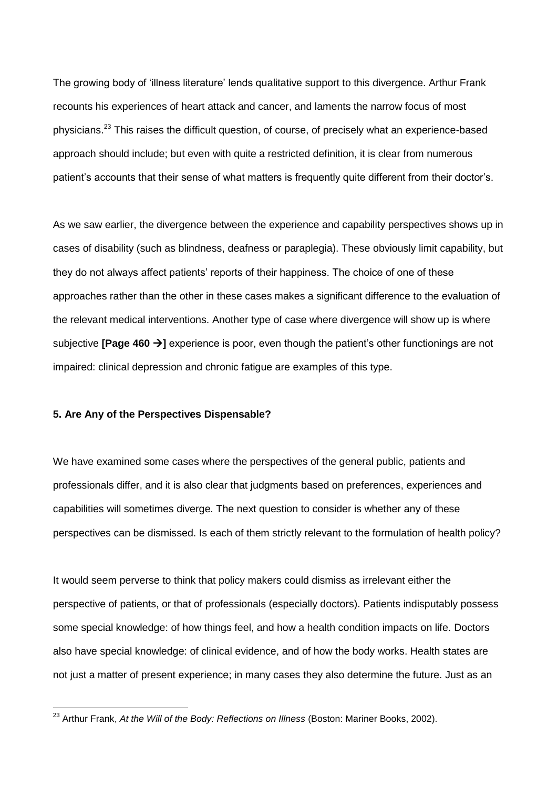The growing body of 'illness literature' lends qualitative support to this divergence. Arthur Frank recounts his experiences of heart attack and cancer, and laments the narrow focus of most physicians.<sup>23</sup> This raises the difficult question, of course, of precisely what an experience-based approach should include; but even with quite a restricted definition, it is clear from numerous patient's accounts that their sense of what matters is frequently quite different from their doctor's.

As we saw earlier, the divergence between the experience and capability perspectives shows up in cases of disability (such as blindness, deafness or paraplegia). These obviously limit capability, but they do not always affect patients' reports of their happiness. The choice of one of these approaches rather than the other in these cases makes a significant difference to the evaluation of the relevant medical interventions. Another type of case where divergence will show up is where subjective **[Page 460 ]** experience is poor, even though the patient's other functionings are not impaired: clinical depression and chronic fatigue are examples of this type.

### **5. Are Any of the Perspectives Dispensable?**

<u>.</u>

We have examined some cases where the perspectives of the general public, patients and professionals differ, and it is also clear that judgments based on preferences, experiences and capabilities will sometimes diverge. The next question to consider is whether any of these perspectives can be dismissed. Is each of them strictly relevant to the formulation of health policy?

It would seem perverse to think that policy makers could dismiss as irrelevant either the perspective of patients, or that of professionals (especially doctors). Patients indisputably possess some special knowledge: of how things feel, and how a health condition impacts on life. Doctors also have special knowledge: of clinical evidence, and of how the body works. Health states are not just a matter of present experience; in many cases they also determine the future. Just as an

<sup>23</sup> Arthur Frank, *At the Will of the Body: Reflections on Illness* (Boston: Mariner Books, 2002).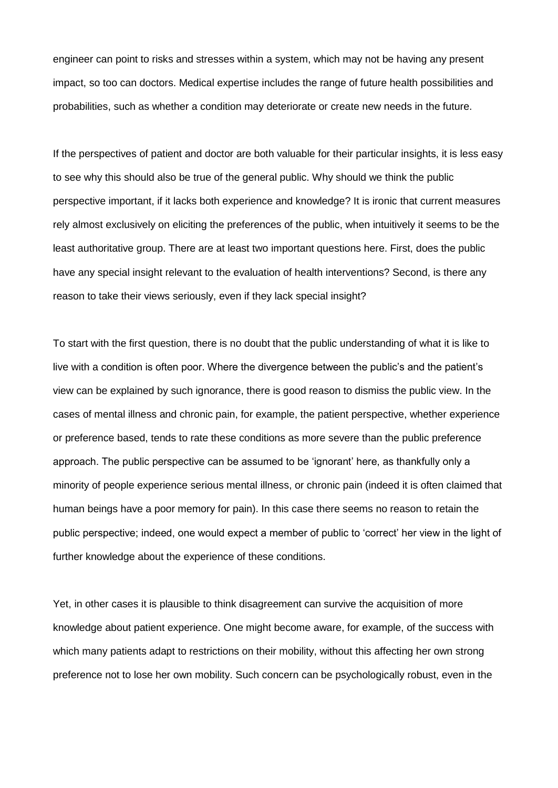engineer can point to risks and stresses within a system, which may not be having any present impact, so too can doctors. Medical expertise includes the range of future health possibilities and probabilities, such as whether a condition may deteriorate or create new needs in the future.

If the perspectives of patient and doctor are both valuable for their particular insights, it is less easy to see why this should also be true of the general public. Why should we think the public perspective important, if it lacks both experience and knowledge? It is ironic that current measures rely almost exclusively on eliciting the preferences of the public, when intuitively it seems to be the least authoritative group. There are at least two important questions here. First, does the public have any special insight relevant to the evaluation of health interventions? Second, is there any reason to take their views seriously, even if they lack special insight?

To start with the first question, there is no doubt that the public understanding of what it is like to live with a condition is often poor. Where the divergence between the public's and the patient's view can be explained by such ignorance, there is good reason to dismiss the public view. In the cases of mental illness and chronic pain, for example, the patient perspective, whether experience or preference based, tends to rate these conditions as more severe than the public preference approach. The public perspective can be assumed to be 'ignorant' here, as thankfully only a minority of people experience serious mental illness, or chronic pain (indeed it is often claimed that human beings have a poor memory for pain). In this case there seems no reason to retain the public perspective; indeed, one would expect a member of public to 'correct' her view in the light of further knowledge about the experience of these conditions.

Yet, in other cases it is plausible to think disagreement can survive the acquisition of more knowledge about patient experience. One might become aware, for example, of the success with which many patients adapt to restrictions on their mobility, without this affecting her own strong preference not to lose her own mobility. Such concern can be psychologically robust, even in the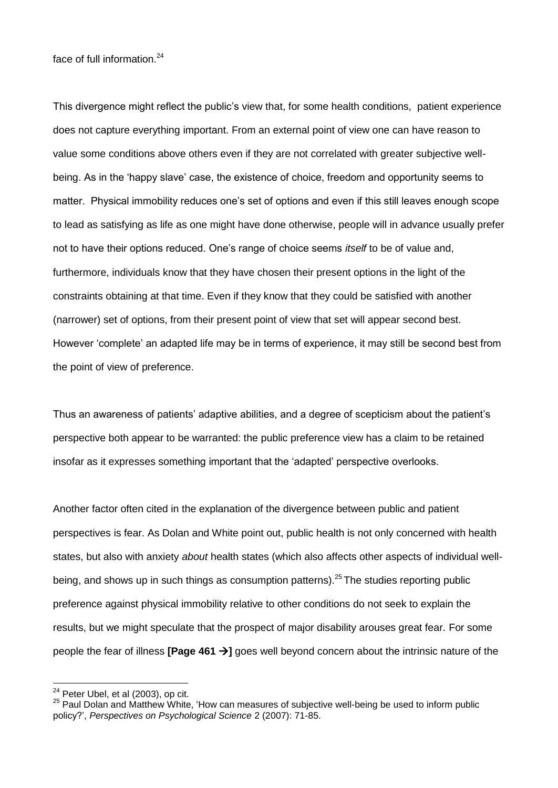face of full information.<sup>24</sup>

This divergence might reflect the public's view that, for some health conditions, patient experience does not capture everything important. From an external point of view one can have reason to value some conditions above others even if they are not correlated with greater subjective wellbeing. As in the 'happy slave' case, the existence of choice, freedom and opportunity seems to matter. Physical immobility reduces one's set of options and even if this still leaves enough scope to lead as satisfying as life as one might have done otherwise, people will in advance usually prefer not to have their options reduced. One's range of choice seems *itself* to be of value and, furthermore, individuals know that they have chosen their present options in the light of the constraints obtaining at that time. Even if they know that they could be satisfied with another (narrower) set of options, from their present point of view that set will appear second best. However 'complete' an adapted life may be in terms of experience, it may still be second best from the point of view of preference.

Thus an awareness of patients' adaptive abilities, and a degree of scepticism about the patient's perspective both appear to be warranted: the public preference view has a claim to be retained insofar as it expresses something important that the 'adapted' perspective overlooks.

Another factor often cited in the explanation of the divergence between public and patient perspectives is fear. As Dolan and White point out, public health is not only concerned with health states, but also with anxiety *about* health states (which also affects other aspects of individual wellbeing, and shows up in such things as consumption patterns).  $25$  The studies reporting public preference against physical immobility relative to other conditions do not seek to explain the results, but we might speculate that the prospect of major disability arouses great fear. For some people the fear of illness **[Page 461 ]** goes well beyond concern about the intrinsic nature of the

 $24$  Peter Ubel, et al (2003), op cit.

<sup>&</sup>lt;sup>25</sup> Paul Dolan and Matthew White, 'How can measures of subjective well-being be used to inform public policy?', *Perspectives on Psychological Science* 2 (2007): 71-85.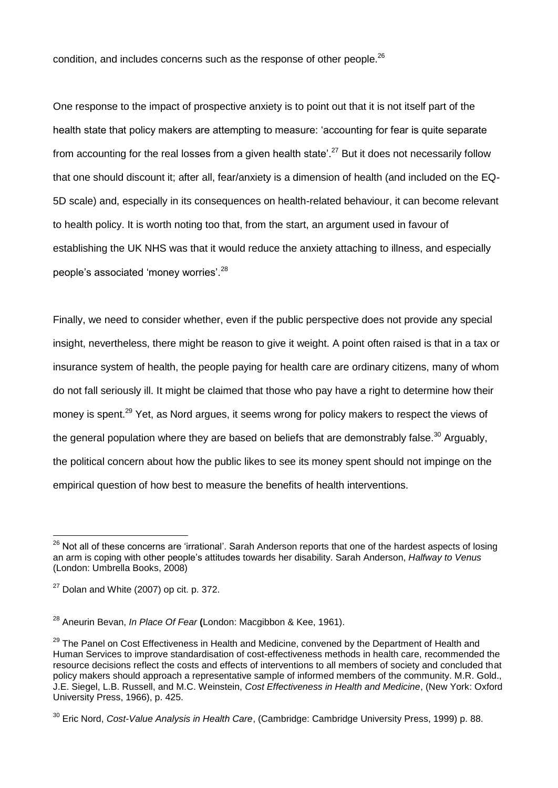condition, and includes concerns such as the response of other people.<sup>26</sup>

One response to the impact of prospective anxiety is to point out that it is not itself part of the health state that policy makers are attempting to measure: 'accounting for fear is quite separate from accounting for the real losses from a given health state'.<sup>27</sup> But it does not necessarily follow that one should discount it; after all, fear/anxiety is a dimension of health (and included on the EQ-5D scale) and, especially in its consequences on health-related behaviour, it can become relevant to health policy. It is worth noting too that, from the start, an argument used in favour of establishing the UK NHS was that it would reduce the anxiety attaching to illness, and especially people's associated 'money worries'.<sup>28</sup>

Finally, we need to consider whether, even if the public perspective does not provide any special insight, nevertheless, there might be reason to give it weight. A point often raised is that in a tax or insurance system of health, the people paying for health care are ordinary citizens, many of whom do not fall seriously ill. It might be claimed that those who pay have a right to determine how their money is spent.<sup>29</sup> Yet, as Nord argues, it seems wrong for policy makers to respect the views of the general population where they are based on beliefs that are demonstrably false.<sup>30</sup> Arguably, the political concern about how the public likes to see its money spent should not impinge on the empirical question of how best to measure the benefits of health interventions.

<sup>&</sup>lt;sup>26</sup> Not all of these concerns are 'irrational'. Sarah Anderson reports that one of the hardest aspects of losing an arm is coping with other people's attitudes towards her disability. Sarah Anderson, *Halfway to Venus* (London: Umbrella Books, 2008)

 $27$  Dolan and White (2007) op cit. p. 372.

<sup>28</sup> Aneurin Bevan, *In Place Of Fear* **(**London: Macgibbon & Kee, 1961).

<sup>&</sup>lt;sup>29</sup> The Panel on Cost Effectiveness in Health and Medicine, convened by the Department of Health and Human Services to improve standardisation of cost-effectiveness methods in health care, recommended the resource decisions reflect the costs and effects of interventions to all members of society and concluded that policy makers should approach a representative sample of informed members of the community. M.R. Gold., J.E. Siegel, L.B. Russell, and M.C. Weinstein, *Cost Effectiveness in Health and Medicine*, (New York: Oxford University Press, 1966), p. 425.

<sup>30</sup> Eric Nord, *Cost-Value Analysis in Health Care*, (Cambridge: Cambridge University Press, 1999) p. 88.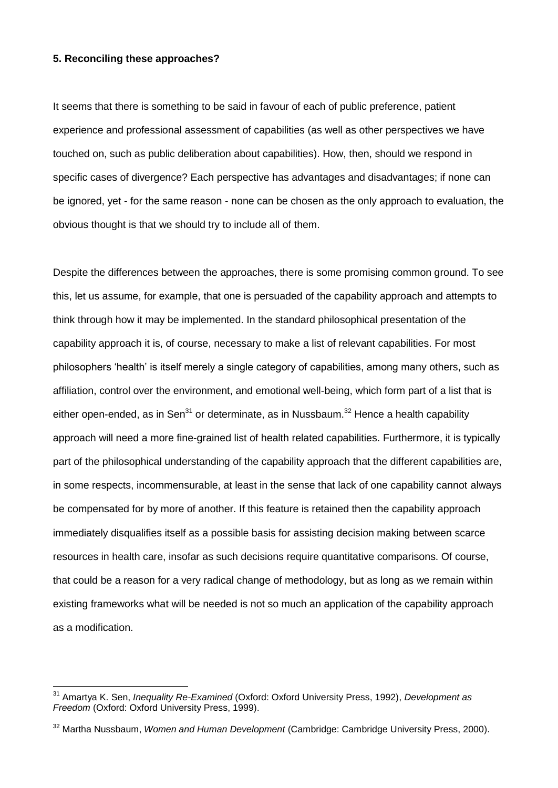### **5. Reconciling these approaches?**

1

It seems that there is something to be said in favour of each of public preference, patient experience and professional assessment of capabilities (as well as other perspectives we have touched on, such as public deliberation about capabilities). How, then, should we respond in specific cases of divergence? Each perspective has advantages and disadvantages; if none can be ignored, yet - for the same reason - none can be chosen as the only approach to evaluation, the obvious thought is that we should try to include all of them.

Despite the differences between the approaches, there is some promising common ground. To see this, let us assume, for example, that one is persuaded of the capability approach and attempts to think through how it may be implemented. In the standard philosophical presentation of the capability approach it is, of course, necessary to make a list of relevant capabilities. For most philosophers 'health' is itself merely a single category of capabilities, among many others, such as affiliation, control over the environment, and emotional well-being, which form part of a list that is either open-ended, as in Sen<sup>31</sup> or determinate, as in Nussbaum.<sup>32</sup> Hence a health capability approach will need a more fine-grained list of health related capabilities. Furthermore, it is typically part of the philosophical understanding of the capability approach that the different capabilities are, in some respects, incommensurable, at least in the sense that lack of one capability cannot always be compensated for by more of another. If this feature is retained then the capability approach immediately disqualifies itself as a possible basis for assisting decision making between scarce resources in health care, insofar as such decisions require quantitative comparisons. Of course, that could be a reason for a very radical change of methodology, but as long as we remain within existing frameworks what will be needed is not so much an application of the capability approach as a modification.

<sup>31</sup> Amartya K. Sen, *Inequality Re-Examined* (Oxford: Oxford University Press, 1992), *Development as Freedom* (Oxford: Oxford University Press, 1999).

<sup>32</sup> Martha Nussbaum, *Women and Human Development* (Cambridge: Cambridge University Press, 2000).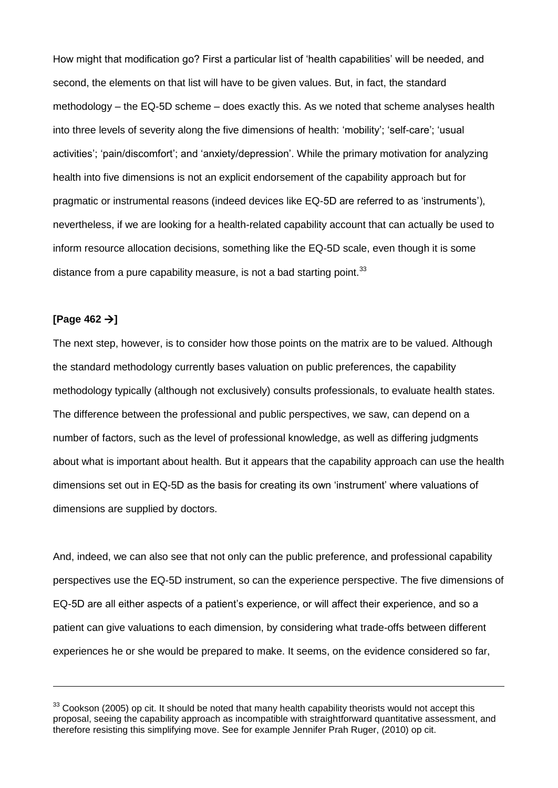How might that modification go? First a particular list of 'health capabilities' will be needed, and second, the elements on that list will have to be given values. But, in fact, the standard methodology – the EQ-5D scheme – does exactly this. As we noted that scheme analyses health into three levels of severity along the five dimensions of health: 'mobility'; 'self-care'; 'usual activities'; 'pain/discomfort'; and 'anxiety/depression'. While the primary motivation for analyzing health into five dimensions is not an explicit endorsement of the capability approach but for pragmatic or instrumental reasons (indeed devices like EQ-5D are referred to as 'instruments'), nevertheless, if we are looking for a health-related capability account that can actually be used to inform resource allocation decisions, something like the EQ-5D scale, even though it is some distance from a pure capability measure, is not a bad starting point.  $33$ 

## **[Page 462 ]**

1

The next step, however, is to consider how those points on the matrix are to be valued. Although the standard methodology currently bases valuation on public preferences, the capability methodology typically (although not exclusively) consults professionals, to evaluate health states. The difference between the professional and public perspectives, we saw, can depend on a number of factors, such as the level of professional knowledge, as well as differing judgments about what is important about health. But it appears that the capability approach can use the health dimensions set out in EQ-5D as the basis for creating its own 'instrument' where valuations of dimensions are supplied by doctors.

And, indeed, we can also see that not only can the public preference, and professional capability perspectives use the EQ-5D instrument, so can the experience perspective. The five dimensions of EQ-5D are all either aspects of a patient's experience, or will affect their experience, and so a patient can give valuations to each dimension, by considering what trade-offs between different experiences he or she would be prepared to make. It seems, on the evidence considered so far,

 $33$  Cookson (2005) op cit. It should be noted that many health capability theorists would not accept this proposal, seeing the capability approach as incompatible with straightforward quantitative assessment, and therefore resisting this simplifying move. See for example Jennifer Prah Ruger, (2010) op cit.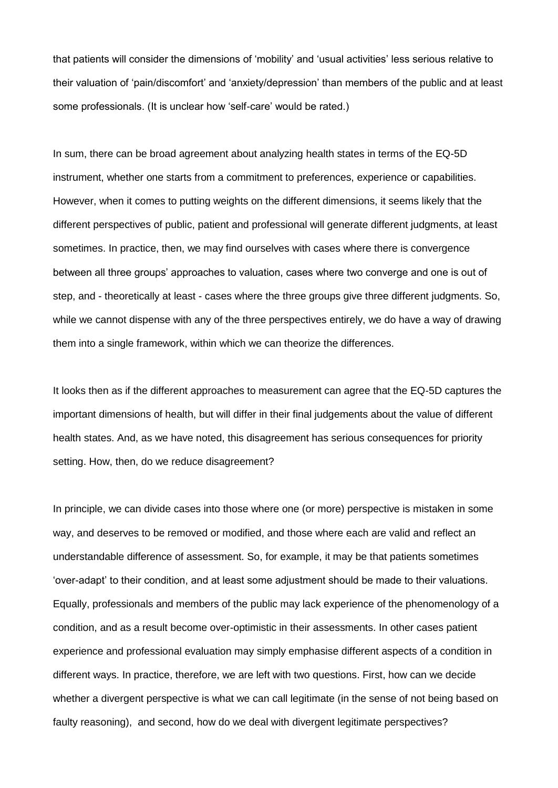that patients will consider the dimensions of 'mobility' and 'usual activities' less serious relative to their valuation of 'pain/discomfort' and 'anxiety/depression' than members of the public and at least some professionals. (It is unclear how 'self-care' would be rated.)

In sum, there can be broad agreement about analyzing health states in terms of the EQ-5D instrument, whether one starts from a commitment to preferences, experience or capabilities. However, when it comes to putting weights on the different dimensions, it seems likely that the different perspectives of public, patient and professional will generate different judgments, at least sometimes. In practice, then, we may find ourselves with cases where there is convergence between all three groups' approaches to valuation, cases where two converge and one is out of step, and - theoretically at least - cases where the three groups give three different judgments. So, while we cannot dispense with any of the three perspectives entirely, we do have a way of drawing them into a single framework, within which we can theorize the differences.

It looks then as if the different approaches to measurement can agree that the EQ-5D captures the important dimensions of health, but will differ in their final judgements about the value of different health states. And, as we have noted, this disagreement has serious consequences for priority setting. How, then, do we reduce disagreement?

In principle, we can divide cases into those where one (or more) perspective is mistaken in some way, and deserves to be removed or modified, and those where each are valid and reflect an understandable difference of assessment. So, for example, it may be that patients sometimes 'over-adapt' to their condition, and at least some adjustment should be made to their valuations. Equally, professionals and members of the public may lack experience of the phenomenology of a condition, and as a result become over-optimistic in their assessments. In other cases patient experience and professional evaluation may simply emphasise different aspects of a condition in different ways. In practice, therefore, we are left with two questions. First, how can we decide whether a divergent perspective is what we can call legitimate (in the sense of not being based on faulty reasoning), and second, how do we deal with divergent legitimate perspectives?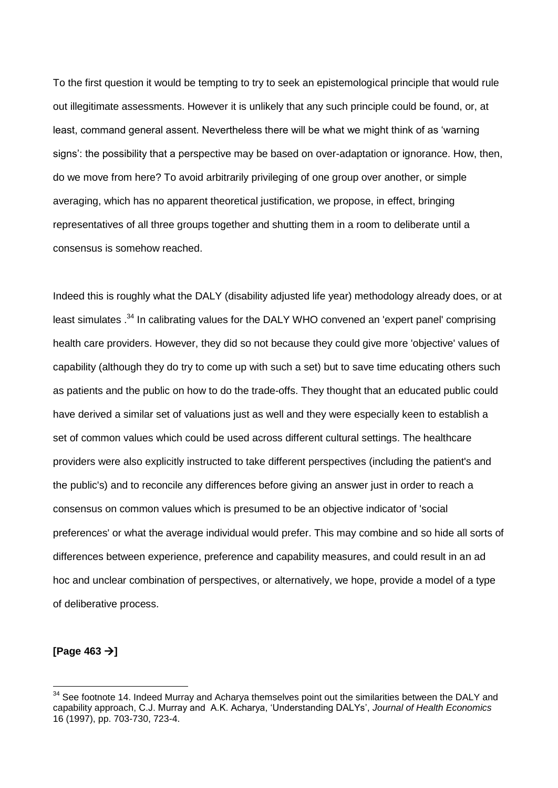To the first question it would be tempting to try to seek an epistemological principle that would rule out illegitimate assessments. However it is unlikely that any such principle could be found, or, at least, command general assent. Nevertheless there will be what we might think of as 'warning signs': the possibility that a perspective may be based on over-adaptation or ignorance. How, then, do we move from here? To avoid arbitrarily privileging of one group over another, or simple averaging, which has no apparent theoretical justification, we propose, in effect, bringing representatives of all three groups together and shutting them in a room to deliberate until a consensus is somehow reached.

Indeed this is roughly what the DALY (disability adjusted life year) methodology already does, or at least simulates .<sup>34</sup> In calibrating values for the DALY WHO convened an 'expert panel' comprising health care providers. However, they did so not because they could give more 'objective' values of capability (although they do try to come up with such a set) but to save time educating others such as patients and the public on how to do the trade-offs. They thought that an educated public could have derived a similar set of valuations just as well and they were especially keen to establish a set of common values which could be used across different cultural settings. The healthcare providers were also explicitly instructed to take different perspectives (including the patient's and the public's) and to reconcile any differences before giving an answer just in order to reach a consensus on common values which is presumed to be an objective indicator of 'social preferences' or what the average individual would prefer. This may combine and so hide all sorts of differences between experience, preference and capability measures, and could result in an ad hoc and unclear combination of perspectives, or alternatively, we hope, provide a model of a type of deliberative process.

## **[Page 463 ]**

 $34$  See footnote 14. Indeed Murray and Acharya themselves point out the similarities between the DALY and capability approach, C.J. Murray and A.K. Acharya, 'Understanding DALYs', *Journal of Health Economics* 16 (1997), pp. 703-730, 723-4.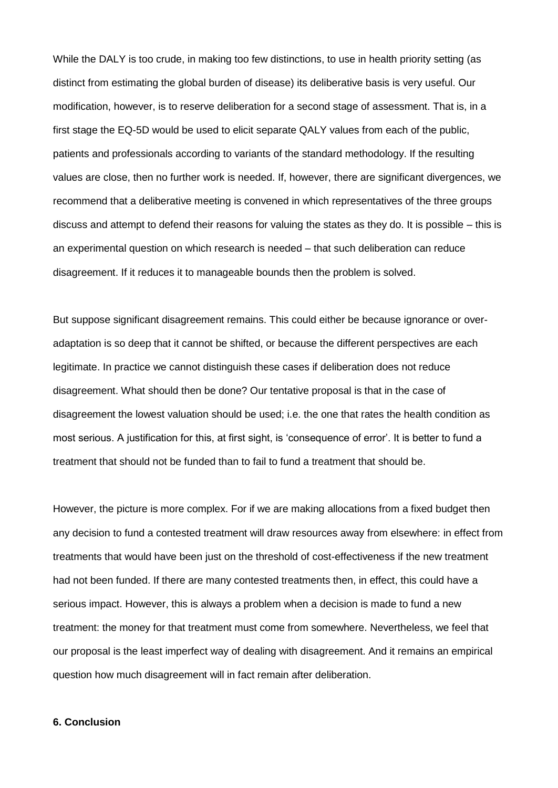While the DALY is too crude, in making too few distinctions, to use in health priority setting (as distinct from estimating the global burden of disease) its deliberative basis is very useful. Our modification, however, is to reserve deliberation for a second stage of assessment. That is, in a first stage the EQ-5D would be used to elicit separate QALY values from each of the public, patients and professionals according to variants of the standard methodology. If the resulting values are close, then no further work is needed. If, however, there are significant divergences, we recommend that a deliberative meeting is convened in which representatives of the three groups discuss and attempt to defend their reasons for valuing the states as they do. It is possible – this is an experimental question on which research is needed – that such deliberation can reduce disagreement. If it reduces it to manageable bounds then the problem is solved.

But suppose significant disagreement remains. This could either be because ignorance or overadaptation is so deep that it cannot be shifted, or because the different perspectives are each legitimate. In practice we cannot distinguish these cases if deliberation does not reduce disagreement. What should then be done? Our tentative proposal is that in the case of disagreement the lowest valuation should be used; i.e. the one that rates the health condition as most serious. A justification for this, at first sight, is 'consequence of error'. It is better to fund a treatment that should not be funded than to fail to fund a treatment that should be.

However, the picture is more complex. For if we are making allocations from a fixed budget then any decision to fund a contested treatment will draw resources away from elsewhere: in effect from treatments that would have been just on the threshold of cost-effectiveness if the new treatment had not been funded. If there are many contested treatments then, in effect, this could have a serious impact. However, this is always a problem when a decision is made to fund a new treatment: the money for that treatment must come from somewhere. Nevertheless, we feel that our proposal is the least imperfect way of dealing with disagreement. And it remains an empirical question how much disagreement will in fact remain after deliberation.

#### **6. Conclusion**